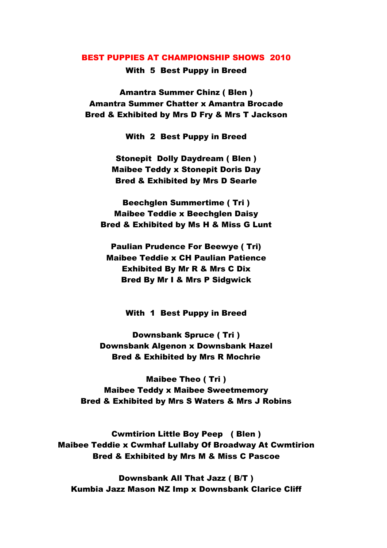## BEST PUPPIES AT CHAMPIONSHIP SHOWS 2010

With 5 Best Puppy in Breed

Amantra Summer Chinz ( Blen ) Amantra Summer Chatter x Amantra Brocade Bred & Exhibited by Mrs D Fry & Mrs T Jackson

With 2 Best Puppy in Breed

Stonepit Dolly Daydream ( Blen ) Maibee Teddy x Stonepit Doris Day Bred & Exhibited by Mrs D Searle

Beechglen Summertime ( Tri ) Maibee Teddie x Beechglen Daisy Bred & Exhibited by Ms H & Miss G Lunt

Paulian Prudence For Beewye ( Tri) Maibee Teddie x CH Paulian Patience Exhibited By Mr R & Mrs C Dix Bred By Mr I & Mrs P Sidgwick

With 1 Best Puppy in Breed

Downsbank Spruce ( Tri ) Downsbank Algenon x Downsbank Hazel Bred & Exhibited by Mrs R Mochrie

Maibee Theo ( Tri ) Maibee Teddy x Maibee Sweetmemory Bred & Exhibited by Mrs S Waters & Mrs J Robins

Cwmtirion Little Boy Peep ( Blen ) Maibee Teddie x Cwmhaf Lullaby Of Broadway At Cwmtirion Bred & Exhibited by Mrs M & Miss C Pascoe

Downsbank All That Jazz ( B/T ) Kumbia Jazz Mason NZ Imp x Downsbank Clarice Cliff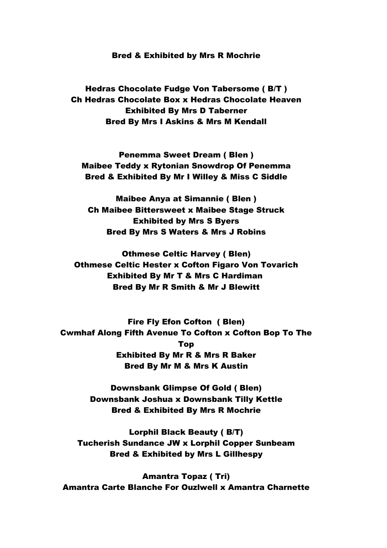## Bred & Exhibited by Mrs R Mochrie

Hedras Chocolate Fudge Von Tabersome ( B/T ) Ch Hedras Chocolate Box x Hedras Chocolate Heaven Exhibited By Mrs D Taberner Bred By Mrs I Askins & Mrs M Kendall

Penemma Sweet Dream ( Blen ) Maibee Teddy x Rytonian Snowdrop Of Penemma Bred & Exhibited By Mr I Willey & Miss C Siddle

Maibee Anya at Simannie ( Blen ) Ch Maibee Bittersweet x Maibee Stage Struck Exhibited by Mrs S Byers Bred By Mrs S Waters & Mrs J Robins

Othmese Celtic Harvey ( Blen) Othmese Celtic Hester x Cofton Figaro Von Tovarich Exhibited By Mr T & Mrs C Hardiman Bred By Mr R Smith & Mr J Blewitt

Fire Fly Efon Cofton ( Blen) Cwmhaf Along Fifth Avenue To Cofton x Cofton Bop To The Top Exhibited By Mr R & Mrs R Baker Bred By Mr M & Mrs K Austin

> Downsbank Glimpse Of Gold ( Blen) Downsbank Joshua x Downsbank Tilly Kettle Bred & Exhibited By Mrs R Mochrie

Lorphil Black Beauty ( B/T) Tucherish Sundance JW x Lorphil Copper Sunbeam Bred & Exhibited by Mrs L Gillhespy

Amantra Topaz ( Tri) Amantra Carte Blanche For Ouzlwell x Amantra Charnette